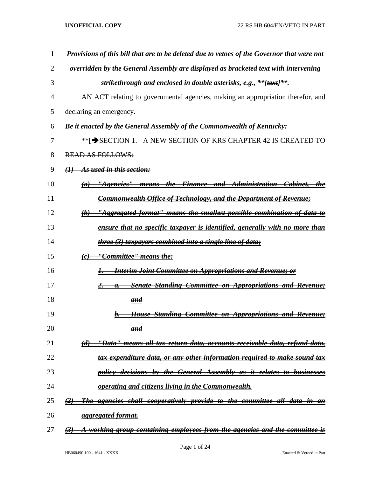| 1  | Provisions of this bill that are to be deleted due to vetoes of the Governor that were not                         |
|----|--------------------------------------------------------------------------------------------------------------------|
| 2  | overridden by the General Assembly are displayed as bracketed text with intervening                                |
| 3  | strikethrough and enclosed in double asterisks, e.g., **[text]**.                                                  |
| 4  | AN ACT relating to governmental agencies, making an appropriation therefor, and                                    |
| 5  | declaring an emergency.                                                                                            |
| 6  | Be it enacted by the General Assembly of the Commonwealth of Kentucky:                                             |
| 7  | **[→SECTION 1. A NEW SECTION OF KRS CHAPTER 42 IS CREATED TO                                                       |
| 8  | <b>READ AS FOLLOWS:</b>                                                                                            |
| 9  | As used in this section:<br>$\theta$                                                                               |
| 10 | <u> "Agencies" means the Finance and Administration Cabinet, </u><br>the<br>(a)                                    |
| 11 | <b>Commonwealth Office of Technology, and the Department of Revenue;</b>                                           |
| 12 | "Aggregated format" means the smallest possible combination of data to<br>$\theta$                                 |
| 13 | ensure that no specific taxpayer is identified, generally with no more than                                        |
| 14 | three (3) taxpayers combined into a single line of data;                                                           |
| 15 | <u> ''Committee'' means the:</u><br>$\left(\epsilon\right)$                                                        |
| 16 | <b>Interim Joint Committee on Appropriations and Revenue; or</b>                                                   |
| 17 | <b>Senate Standing Committee on Appropriations and Revenue;</b><br>а.                                              |
| 18 | <u>and</u>                                                                                                         |
| 19 | House Standing Committee on Appropriations and Revenue;                                                            |
| 20 | and                                                                                                                |
| 21 | <u>''Data'' means all tax return data, accounts receivable data, refund data,</u><br>$\left(\boldsymbol{d}\right)$ |
| 22 | tax expenditure data, or any other information required to make sound tax                                          |
| 23 | policy decisions by the General Assembly as it relates to businesses                                               |
| 24 | operating and citizens living in the Commonwealth.                                                                 |
| 25 | The agencies shall cooperatively provide to the committee all data in an<br>$\left( 2\right)$                      |
| 26 | aggregated format.                                                                                                 |
| 27 | A working group containing employees from the agencies and the committee is<br>(3)                                 |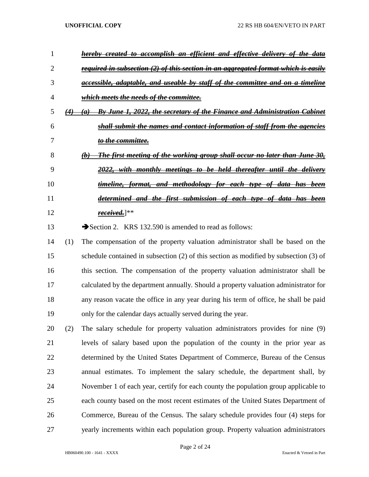|    | <del>accomplish</del><br><del>effective delivery of</del><br><del>efficient</del><br><del>the</del><br><del>created</del><br><del>-an</del><br><del>and</del><br>ŧо |
|----|---------------------------------------------------------------------------------------------------------------------------------------------------------------------|
|    | <del>required in subsection (2) of this section in an aggregated format which is easily</del>                                                                       |
| 3  | <del>accessible, adaptable, and useable by staff of the committee and on a timeline</del>                                                                           |
| 4  | which meets the needs of the committee.                                                                                                                             |
| C  | By June 1, 2022, the secretary of the Finance and Administration Cabinet<br>$\left( 4\right)$<br>$\boldsymbol{a}$                                                   |
| 6  | shall submit the names and contact information of staff from the agencies                                                                                           |
|    | <del>to the committee.</del>                                                                                                                                        |
| 8  | <del>The first meeting of the working group shall occur no later than June 30,</del><br>$\boldsymbol{\theta}$                                                       |
| 9  | 2022,<br>monthly meetings to be held thereafter until the delivery                                                                                                  |
| 10 | <del>and metho<u>dology for each type of</u> data</del><br><del>timeline.</del><br><del>has been</del><br><del>format.</del>                                        |
| 11 | <del>first submission of each type of data has been</del><br><del>determined and the</del>                                                                          |
| 12 | <u>received.]</u> **                                                                                                                                                |
| 13 | Section 2. KRS 132.590 is amended to read as follows:                                                                                                               |

 (1) The compensation of the property valuation administrator shall be based on the schedule contained in subsection (2) of this section as modified by subsection (3) of this section. The compensation of the property valuation administrator shall be calculated by the department annually. Should a property valuation administrator for any reason vacate the office in any year during his term of office, he shall be paid only for the calendar days actually served during the year.

 (2) The salary schedule for property valuation administrators provides for nine (9) levels of salary based upon the population of the county in the prior year as determined by the United States Department of Commerce, Bureau of the Census annual estimates. To implement the salary schedule, the department shall, by November 1 of each year, certify for each county the population group applicable to each county based on the most recent estimates of the United States Department of Commerce, Bureau of the Census. The salary schedule provides four (4) steps for yearly increments within each population group. Property valuation administrators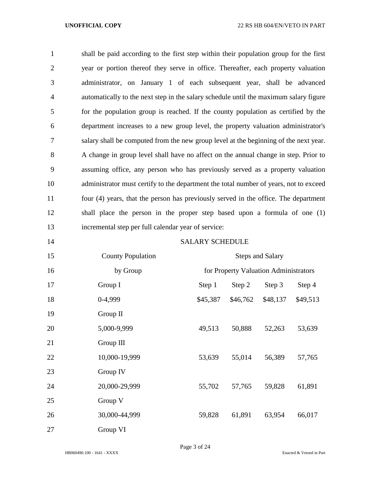shall be paid according to the first step within their population group for the first year or portion thereof they serve in office. Thereafter, each property valuation administrator, on January 1 of each subsequent year, shall be advanced automatically to the next step in the salary schedule until the maximum salary figure for the population group is reached. If the county population as certified by the department increases to a new group level, the property valuation administrator's salary shall be computed from the new group level at the beginning of the next year. A change in group level shall have no affect on the annual change in step. Prior to assuming office, any person who has previously served as a property valuation administrator must certify to the department the total number of years, not to exceed four (4) years, that the person has previously served in the office. The department shall place the person in the proper step based upon a formula of one (1) incremental step per full calendar year of service:

|--|

# **SALARY SCHEDULE**

| 15 | <b>County Population</b> | <b>Steps and Salary</b> |                                       |          |          |
|----|--------------------------|-------------------------|---------------------------------------|----------|----------|
| 16 | by Group                 |                         | for Property Valuation Administrators |          |          |
| 17 | Group I                  | Step 1                  | Step 2                                | Step 3   | Step 4   |
| 18 | 0-4,999                  | \$45,387                | \$46,762                              | \$48,137 | \$49,513 |
| 19 | Group II                 |                         |                                       |          |          |
| 20 | 5,000-9,999              | 49,513                  | 50,888                                | 52,263   | 53,639   |
| 21 | Group III                |                         |                                       |          |          |
| 22 | 10,000-19,999            | 53,639                  | 55,014                                | 56,389   | 57,765   |
| 23 | Group IV                 |                         |                                       |          |          |
| 24 | 20,000-29,999            | 55,702                  | 57,765                                | 59,828   | 61,891   |
| 25 | Group V                  |                         |                                       |          |          |
| 26 | 30,000-44,999            | 59,828                  | 61,891                                | 63,954   | 66,017   |
| 27 | Group VI                 |                         |                                       |          |          |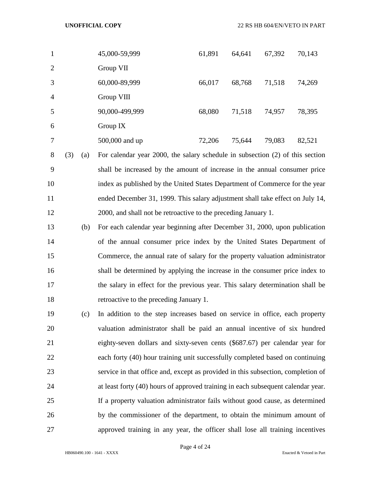| 1              | 45,000-59,999  | 61,891 | 64,641 | 67,392 | 70,143 |
|----------------|----------------|--------|--------|--------|--------|
| 2              | Group VII      |        |        |        |        |
| 3              | 60,000-89,999  | 66,017 | 68,768 | 71,518 | 74,269 |
| $\overline{4}$ | Group VIII     |        |        |        |        |
| 5              | 90,000-499,999 | 68,080 | 71,518 | 74,957 | 78,395 |
| 6              | Group $IX$     |        |        |        |        |
| 7              | 500,000 and up | 72,206 | 75,644 | 79,083 | 82,521 |

 (3) (a) For calendar year 2000, the salary schedule in subsection (2) of this section shall be increased by the amount of increase in the annual consumer price index as published by the United States Department of Commerce for the year ended December 31, 1999. This salary adjustment shall take effect on July 14, 2000, and shall not be retroactive to the preceding January 1.

- (b) For each calendar year beginning after December 31, 2000, upon publication of the annual consumer price index by the United States Department of Commerce, the annual rate of salary for the property valuation administrator shall be determined by applying the increase in the consumer price index to the salary in effect for the previous year. This salary determination shall be retroactive to the preceding January 1.
- (c) In addition to the step increases based on service in office, each property valuation administrator shall be paid an annual incentive of six hundred eighty-seven dollars and sixty-seven cents (\$687.67) per calendar year for each forty (40) hour training unit successfully completed based on continuing service in that office and, except as provided in this subsection, completion of at least forty (40) hours of approved training in each subsequent calendar year. If a property valuation administrator fails without good cause, as determined by the commissioner of the department, to obtain the minimum amount of approved training in any year, the officer shall lose all training incentives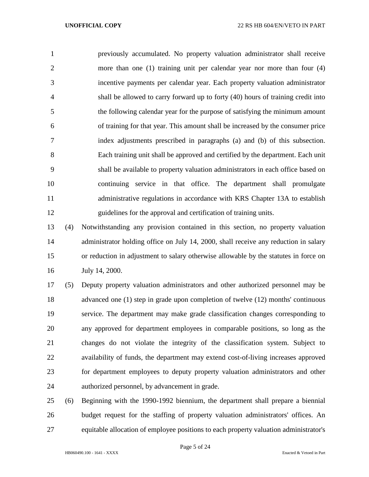previously accumulated. No property valuation administrator shall receive more than one (1) training unit per calendar year nor more than four (4) incentive payments per calendar year. Each property valuation administrator shall be allowed to carry forward up to forty (40) hours of training credit into the following calendar year for the purpose of satisfying the minimum amount of training for that year. This amount shall be increased by the consumer price index adjustments prescribed in paragraphs (a) and (b) of this subsection. Each training unit shall be approved and certified by the department. Each unit shall be available to property valuation administrators in each office based on continuing service in that office. The department shall promulgate administrative regulations in accordance with KRS Chapter 13A to establish guidelines for the approval and certification of training units.

 (4) Notwithstanding any provision contained in this section, no property valuation 14 administrator holding office on July 14, 2000, shall receive any reduction in salary or reduction in adjustment to salary otherwise allowable by the statutes in force on July 14, 2000.

 (5) Deputy property valuation administrators and other authorized personnel may be advanced one (1) step in grade upon completion of twelve (12) months' continuous service. The department may make grade classification changes corresponding to any approved for department employees in comparable positions, so long as the changes do not violate the integrity of the classification system. Subject to availability of funds, the department may extend cost-of-living increases approved for department employees to deputy property valuation administrators and other authorized personnel, by advancement in grade.

 (6) Beginning with the 1990-1992 biennium, the department shall prepare a biennial budget request for the staffing of property valuation administrators' offices. An equitable allocation of employee positions to each property valuation administrator's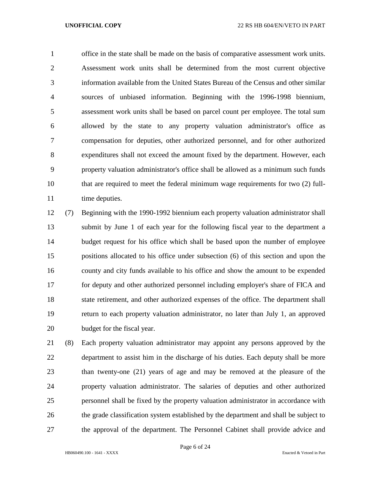office in the state shall be made on the basis of comparative assessment work units. Assessment work units shall be determined from the most current objective information available from the United States Bureau of the Census and other similar sources of unbiased information. Beginning with the 1996-1998 biennium, assessment work units shall be based on parcel count per employee. The total sum allowed by the state to any property valuation administrator's office as compensation for deputies, other authorized personnel, and for other authorized expenditures shall not exceed the amount fixed by the department. However, each property valuation administrator's office shall be allowed as a minimum such funds that are required to meet the federal minimum wage requirements for two (2) full-11 time deputies.

 (7) Beginning with the 1990-1992 biennium each property valuation administrator shall submit by June 1 of each year for the following fiscal year to the department a budget request for his office which shall be based upon the number of employee positions allocated to his office under subsection (6) of this section and upon the county and city funds available to his office and show the amount to be expended for deputy and other authorized personnel including employer's share of FICA and state retirement, and other authorized expenses of the office. The department shall return to each property valuation administrator, no later than July 1, an approved budget for the fiscal year.

 (8) Each property valuation administrator may appoint any persons approved by the department to assist him in the discharge of his duties. Each deputy shall be more than twenty-one (21) years of age and may be removed at the pleasure of the property valuation administrator. The salaries of deputies and other authorized personnel shall be fixed by the property valuation administrator in accordance with the grade classification system established by the department and shall be subject to the approval of the department. The Personnel Cabinet shall provide advice and

Page 6 of 24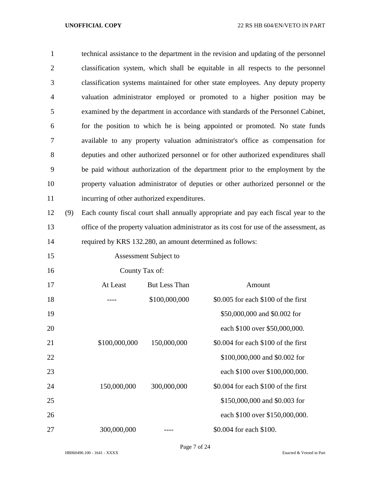| $\mathbf{1}$   |     |                                                                                  |                       | technical assistance to the department in the revision and updating of the personnel     |  |  |
|----------------|-----|----------------------------------------------------------------------------------|-----------------------|------------------------------------------------------------------------------------------|--|--|
| $\overline{2}$ |     |                                                                                  |                       | classification system, which shall be equitable in all respects to the personnel         |  |  |
| 3              |     | classification systems maintained for other state employees. Any deputy property |                       |                                                                                          |  |  |
| 4              |     |                                                                                  |                       | valuation administrator employed or promoted to a higher position may be                 |  |  |
| 5              |     |                                                                                  |                       | examined by the department in accordance with standards of the Personnel Cabinet,        |  |  |
| 6              |     |                                                                                  |                       | for the position to which he is being appointed or promoted. No state funds              |  |  |
| 7              |     |                                                                                  |                       | available to any property valuation administrator's office as compensation for           |  |  |
| 8              |     |                                                                                  |                       | deputies and other authorized personnel or for other authorized expenditures shall       |  |  |
| 9              |     |                                                                                  |                       | be paid without authorization of the department prior to the employment by the           |  |  |
| 10             |     |                                                                                  |                       | property valuation administrator of deputies or other authorized personnel or the        |  |  |
| 11             |     | incurring of other authorized expenditures.                                      |                       |                                                                                          |  |  |
| 12             | (9) |                                                                                  |                       | Each county fiscal court shall annually appropriate and pay each fiscal year to the      |  |  |
| 13             |     |                                                                                  |                       | office of the property valuation administrator as its cost for use of the assessment, as |  |  |
| 14             |     | required by KRS 132.280, an amount determined as follows:                        |                       |                                                                                          |  |  |
| 15             |     |                                                                                  | Assessment Subject to |                                                                                          |  |  |
| 16             |     | County Tax of:                                                                   |                       |                                                                                          |  |  |
| 17             |     | At Least                                                                         | <b>But Less Than</b>  | Amount                                                                                   |  |  |
| 18             |     |                                                                                  | \$100,000,000         | \$0.005 for each \$100 of the first                                                      |  |  |
| 19             |     |                                                                                  |                       | \$50,000,000 and \$0.002 for                                                             |  |  |
| 20             |     |                                                                                  |                       | each \$100 over \$50,000,000.                                                            |  |  |
| 21             |     | \$100,000,000                                                                    | 150,000,000           | \$0.004 for each \$100 of the first                                                      |  |  |
| 22             |     |                                                                                  |                       | \$100,000,000 and \$0.002 for                                                            |  |  |
| 23             |     |                                                                                  |                       | each \$100 over \$100,000,000.                                                           |  |  |
| 24             |     | 150,000,000                                                                      | 300,000,000           | \$0.004 for each \$100 of the first                                                      |  |  |
| 25             |     |                                                                                  |                       | \$150,000,000 and \$0.003 for                                                            |  |  |
| 26             |     |                                                                                  |                       | each \$100 over \$150,000,000.                                                           |  |  |
| 27             |     | 300,000,000                                                                      |                       | \$0.004 for each \$100.                                                                  |  |  |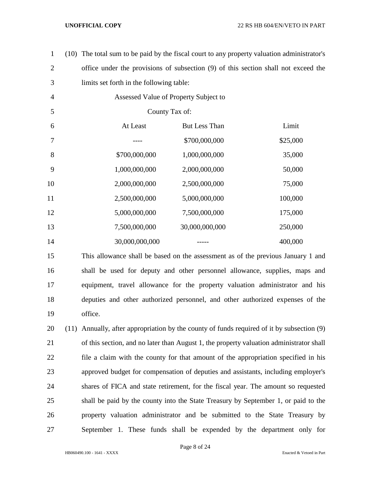| $\mathbf{1}$   | (10) The total sum to be paid by the fiscal court to any property valuation administrator's |                                       |          |
|----------------|---------------------------------------------------------------------------------------------|---------------------------------------|----------|
| $\mathbf{2}$   | office under the provisions of subsection (9) of this section shall not exceed the          |                                       |          |
| 3              | limits set forth in the following table:                                                    |                                       |          |
| $\overline{4}$ |                                                                                             | Assessed Value of Property Subject to |          |
| 5              | County Tax of:                                                                              |                                       |          |
| 6              | At Least                                                                                    | But Less Than                         | Limit    |
| 7              |                                                                                             | \$700,000,000                         | \$25,000 |
| 8              | \$700,000,000                                                                               | 1,000,000,000                         | 35,000   |
| 9              | 1,000,000,000                                                                               | 2,000,000,000                         | 50,000   |
| 10             | 2,000,000,000                                                                               | 2,500,000,000                         | 75,000   |
| 11             | 2,500,000,000                                                                               | 5,000,000,000                         | 100,000  |
| 12             | 5,000,000,000                                                                               | 7,500,000,000                         | 175,000  |
| 13             | 7,500,000,000                                                                               | 30,000,000,000                        | 250,000  |
| 14             | 30,000,000,000                                                                              |                                       | 400,000  |
| 15             | This allowance shall be based on the assessment as of the previous January 1 and            |                                       |          |

 shall be used for deputy and other personnel allowance, supplies, maps and equipment, travel allowance for the property valuation administrator and his deputies and other authorized personnel, and other authorized expenses of the office.

 (11) Annually, after appropriation by the county of funds required of it by subsection (9) of this section, and no later than August 1, the property valuation administrator shall file a claim with the county for that amount of the appropriation specified in his approved budget for compensation of deputies and assistants, including employer's shares of FICA and state retirement, for the fiscal year. The amount so requested shall be paid by the county into the State Treasury by September 1, or paid to the property valuation administrator and be submitted to the State Treasury by September 1. These funds shall be expended by the department only for

Page 8 of 24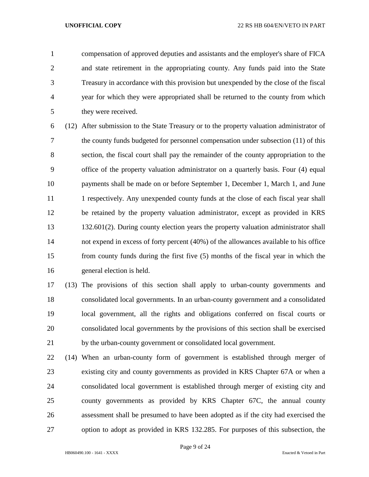compensation of approved deputies and assistants and the employer's share of FICA and state retirement in the appropriating county. Any funds paid into the State Treasury in accordance with this provision but unexpended by the close of the fiscal year for which they were appropriated shall be returned to the county from which they were received.

 (12) After submission to the State Treasury or to the property valuation administrator of the county funds budgeted for personnel compensation under subsection (11) of this section, the fiscal court shall pay the remainder of the county appropriation to the office of the property valuation administrator on a quarterly basis. Four (4) equal payments shall be made on or before September 1, December 1, March 1, and June 11 1 1 respectively. Any unexpended county funds at the close of each fiscal year shall be retained by the property valuation administrator, except as provided in KRS 132.601(2). During county election years the property valuation administrator shall not expend in excess of forty percent (40%) of the allowances available to his office from county funds during the first five (5) months of the fiscal year in which the general election is held.

 (13) The provisions of this section shall apply to urban-county governments and consolidated local governments. In an urban-county government and a consolidated local government, all the rights and obligations conferred on fiscal courts or consolidated local governments by the provisions of this section shall be exercised by the urban-county government or consolidated local government.

 (14) When an urban-county form of government is established through merger of existing city and county governments as provided in KRS Chapter 67A or when a consolidated local government is established through merger of existing city and county governments as provided by KRS Chapter 67C, the annual county assessment shall be presumed to have been adopted as if the city had exercised the option to adopt as provided in KRS 132.285. For purposes of this subsection, the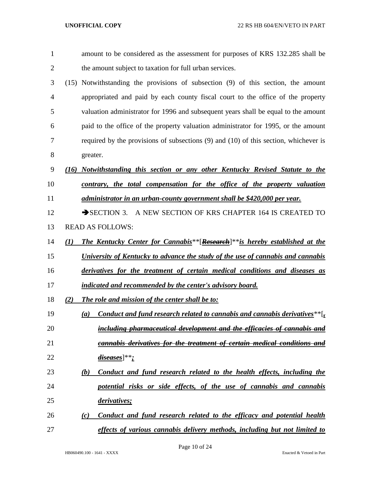| 1              |                  | amount to be considered as the assessment for purposes of KRS 132.285 shall be                             |
|----------------|------------------|------------------------------------------------------------------------------------------------------------|
| $\overline{2}$ |                  | the amount subject to taxation for full urban services.                                                    |
| 3              |                  | (15) Notwithstanding the provisions of subsection (9) of this section, the amount                          |
| $\overline{4}$ |                  | appropriated and paid by each county fiscal court to the office of the property                            |
| 5              |                  | valuation administrator for 1996 and subsequent years shall be equal to the amount                         |
| 6              |                  | paid to the office of the property valuation administrator for 1995, or the amount                         |
| 7              |                  | required by the provisions of subsections $(9)$ and $(10)$ of this section, whichever is                   |
| 8              |                  | greater.                                                                                                   |
| 9              | (16)             | Notwithstanding this section or any other Kentucky Revised Statute to the                                  |
| 10             |                  | contrary, the total compensation for the office of the property valuation                                  |
| 11             |                  | administrator in an urban-county government shall be \$420,000 per year.                                   |
| 12             |                  | $\rightarrow$ SECTION 3.<br>A NEW SECTION OF KRS CHAPTER 164 IS CREATED TO                                 |
| 13             |                  | <b>READ AS FOLLOWS:</b>                                                                                    |
| 14             | $\mathcal{L}(I)$ | The Kentucky Center for Cannabis <sup>**</sup> [Research] <sup>**</sup> is hereby established at the       |
| 15             |                  | University of Kentucky to advance the study of the use of cannabis and cannabis                            |
| 16             |                  | derivatives for the treatment of certain medical conditions and diseases as                                |
| 17             |                  | indicated and recommended by the center's advisory board.                                                  |
| 18             | (2)              | The role and mission of the center shall be to:                                                            |
| 19             |                  | Conduct and fund research related to cannabis and cannabis derivatives** $\left[\frac{1}{2}\right]$<br>(a) |
| 20             |                  | including pharmaceutical development and the efficacies of cannabis and                                    |
| 21             |                  | cannabis derivatives for the treatment of certain medical conditions and                                   |
| 22             |                  | di <u>seases</u> ]**;                                                                                      |
| 23             |                  | Conduct and fund research related to the health effects, including the<br>(b)                              |
| 24             |                  | potential risks or side effects, of the use of cannabis and cannabis                                       |
| 25             |                  | derivatives;                                                                                               |
| 26             |                  | Conduct and fund research related to the efficacy and potential health<br>(c)                              |
| 27             |                  | effects of various cannabis delivery methods, including but not limited to                                 |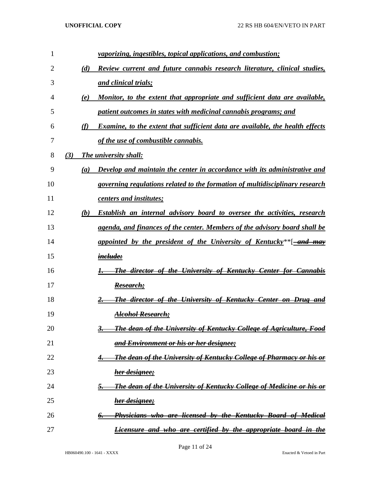| 1  |     |     | <i>vaporizing, ingestibles, topical applications, and combustion;</i>                    |
|----|-----|-----|------------------------------------------------------------------------------------------|
| 2  |     | (d) | Review current and future cannabis research literature, clinical studies,                |
| 3  |     |     | and clinical trials;                                                                     |
| 4  |     | (e) | Monitor, to the extent that appropriate and sufficient data are available,               |
| 5  |     |     | patient outcomes in states with medicinal cannabis programs; and                         |
| 6  |     | (f) | <b>Examine, to the extent that sufficient data are available, the health effects</b>     |
| 7  |     |     | of the use of combustible cannabis.                                                      |
| 8  | (3) |     | The university shall:                                                                    |
| 9  |     | (a) | Develop and maintain the center in accordance with its administrative and                |
| 10 |     |     | governing regulations related to the formation of multidisciplinary research             |
| 11 |     |     | centers and institutes;                                                                  |
| 12 |     | (b) | Establish an internal advisory board to oversee the activities, research                 |
| 13 |     |     | agenda, and finances of the center. Members of the advisory board shall be               |
| 14 |     |     | appointed by the president of the University of Kentucky <sup>**</sup> [and may          |
| 15 |     |     | i <del>nclude:</del>                                                                     |
| 16 |     |     | <b>The director of the University of Kentucky Center for Cannabis</b>                    |
| 17 |     |     | Research;                                                                                |
| 18 |     |     | <b>The director of the University of Kentucky Center on Drug and</b>                     |
| 19 |     |     | Alcohol Research;                                                                        |
| 20 |     |     | <b>The dean of the University of Kentucky College of Agriculture, Food</b><br>З.         |
| 21 |     |     | and Environment or his or her designee;                                                  |
| 22 |     |     | <b>The dean of the University of Kentucky College of Pharmacy or his or</b><br>4.        |
| 23 |     |     | her designee;                                                                            |
| 24 |     |     | <b>The dean of the University of Kentucky College of Medicine or his or</b><br><u>5.</u> |
| 25 |     |     | <u>her designee;</u>                                                                     |
| 26 |     |     | <b>Physicians who are licensed by the Kentucky Board of Medical</b><br>6.                |
| 27 |     |     | Licensure and who are certified by the appropriate board in the                          |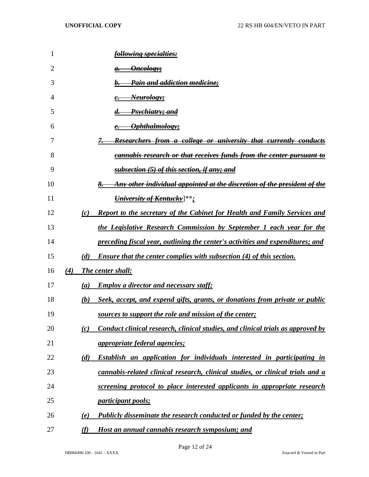| 1  |     |     | <del>following specialties:</del>                                                |
|----|-----|-----|----------------------------------------------------------------------------------|
| 2  |     |     | <del>Oncology;</del><br>а.                                                       |
| 3  |     |     | Pain and addiction medicine;                                                     |
| 4  |     |     | <del>Neurology;</del>                                                            |
| 5  |     |     | Psychiatry; and                                                                  |
| 6  |     |     | Ophthalmology;                                                                   |
| 7  |     |     | <del>Researchers from a college or university that currently conducts</del>      |
| 8  |     |     | <del>cannabis research or that receives funds from the center pursuant to</del>  |
| 9  |     |     | subsection (5) of this section, if any; and                                      |
| 10 |     |     | Any other individual appointed at the discretion of the president of the         |
| 11 |     |     | University of Kentucky]**;                                                       |
| 12 |     | (c) | <b>Report to the secretary of the Cabinet for Health and Family Services and</b> |
| 13 |     |     | the Legislative Research Commission by September 1 each year for the             |
| 14 |     |     | preceding fiscal year, outlining the center's activities and expenditures; and   |
| 15 |     | (d) | <b>Ensure that the center complies with subsection (4) of this section.</b>      |
| 16 | (4) |     | <b>The center shall:</b>                                                         |
| 17 |     | (a) | <b>Employ a director and necessary staff;</b>                                    |
| 18 |     | (b) | Seek, accept, and expend gifts, grants, or donations from private or public      |
| 19 |     |     | sources to support the role and mission of the center;                           |
| 20 |     | (c) | Conduct clinical research, clinical studies, and clinical trials as approved by  |
| 21 |     |     | <i>appropriate federal agencies;</i>                                             |
| 22 |     | (d) | Establish an application for individuals interested in participating in          |
| 23 |     |     | cannabis-related clinical research, clinical studies, or clinical trials and a   |
| 24 |     |     | screening protocol to place interested applicants in appropriate research        |
| 25 |     |     | <i>participant pools;</i>                                                        |
| 26 |     | (e) | <b>Publicly disseminate the research conducted or funded by the center;</b>      |
| 27 |     | (f) | Host an annual cannabis research symposium; and                                  |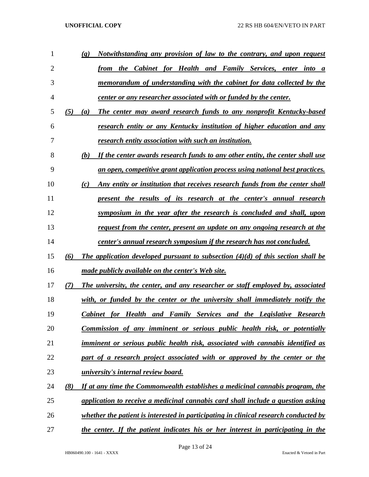| 1  |     | Notwithstanding any provision of law to the contrary, and upon request<br>$\left( \mathbf{g} \right)$ |
|----|-----|-------------------------------------------------------------------------------------------------------|
| 2  |     | the Cabinet for Health and Family Services, enter into<br>from<br>$\boldsymbol{a}$                    |
| 3  |     | memorandum of understanding with the cabinet for data collected by the                                |
| 4  |     | <u>center or any researcher associated with or funded by the center.</u>                              |
| 5  | (5) | The center may award research funds to any nonprofit Kentucky-based<br>$\left(a\right)$               |
| 6  |     | research entity or any Kentucky institution of higher education and any                               |
| 7  |     | research entity association with such an institution.                                                 |
| 8  |     | If the center awards research funds to any other entity, the center shall use<br>(b)                  |
| 9  |     | an open, competitive grant application process using national best practices.                         |
| 10 |     | Any entity or institution that receives research funds from the center shall<br>(c)                   |
| 11 |     | <u>present the results of its research at the center's annual research</u>                            |
| 12 |     | symposium in the year after the research is concluded and shall, upon                                 |
| 13 |     | <u>request from the center, present an update on any ongoing research at the</u>                      |
| 14 |     | center's annual research symposium if the research has not concluded.                                 |
| 15 | (6) | The application developed pursuant to subsection $(4)(d)$ of this section shall be                    |
| 16 |     | made publicly available on the center's Web site.                                                     |
| 17 | (7) | The university, the center, and any researcher or staff employed by, associated                       |
| 18 |     | with, or funded by the center or the university shall immediately notify the                          |
| 19 |     | <b>Cabinet for Health and Family Services and the Legislative Research</b>                            |
| 20 |     | <u>Commission of any imminent or serious public health risk, or potentially</u>                       |
| 21 |     | imminent or serious public health risk, associated with cannabis identified as                        |
| 22 |     | part of a research project associated with or approved by the center or the                           |
| 23 |     | <u>university's internal review board.</u>                                                            |
| 24 | (8) | If at any time the Commonwealth establishes a medicinal cannabis program, the                         |
| 25 |     | application to receive a medicinal cannabis card shall include a question asking                      |
| 26 |     | <u>whether the patient is interested in participating in clinical research conducted by</u>           |
| 27 |     | the center. If the patient indicates his or her interest in participating in the                      |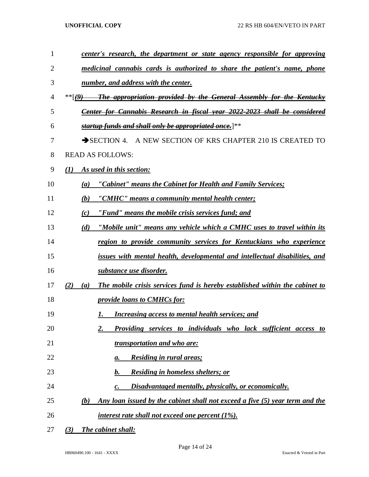| 1  | center's research, the department or state agency responsible for approving               |
|----|-------------------------------------------------------------------------------------------|
| 2  | medicinal cannabis cards is authorized to share the patient's name, phone                 |
| 3  | number, and address with the center.                                                      |
| 4  | $**$ $(9)$ The appropriation provided by the General Assembly for the Kentucky            |
| 5  | <b>Center for Cannabis Research in fiscal year 2022-2023 shall be considered</b>          |
| 6  | startup funds and shall only be appropriated once.  **                                    |
| 7  | SECTION 4. A NEW SECTION OF KRS CHAPTER 210 IS CREATED TO                                 |
| 8  | <b>READ AS FOLLOWS:</b>                                                                   |
| 9  | As used in this section:<br>(I)                                                           |
| 10 | "Cabinet" means the Cabinet for Health and Family Services;<br>(a)                        |
| 11 | (b) "CMHC" means a community mental health center;                                        |
| 12 | "Fund" means the mobile crisis services fund; and<br>(c)                                  |
| 13 | "Mobile unit" means any vehicle which a CMHC uses to travel within its<br>(d)             |
| 14 | region to provide community services for Kentuckians who experience                       |
| 15 | issues with mental health, developmental and intellectual disabilities, and               |
| 16 | <u>substance use disorder.</u>                                                            |
| 17 | The mobile crisis services fund is hereby established within the cabinet to<br>(2)<br>(a) |
| 18 | <i><u><b>provide loans to CMHCs for:</b></u></i>                                          |
| 19 | <b>Increasing access to mental health services; and</b><br>1.                             |
| 20 | Providing services to individuals who lack sufficient access to<br>2.                     |
| 21 | transportation and who are:                                                               |
| 22 | <b>Residing in rural areas;</b><br>а.                                                     |
| 23 | <b>Residing in homeless shelters; or</b><br>b.                                            |
| 24 | Disadvantaged mentally, physically, or economically.<br>c.                                |
| 25 | Any loan issued by the cabinet shall not exceed a five (5) year term and the<br>(b)       |
| 26 | <i>interest rate shall not exceed one percent (1%).</i>                                   |
| 27 | The cabinet shall:<br>(3)                                                                 |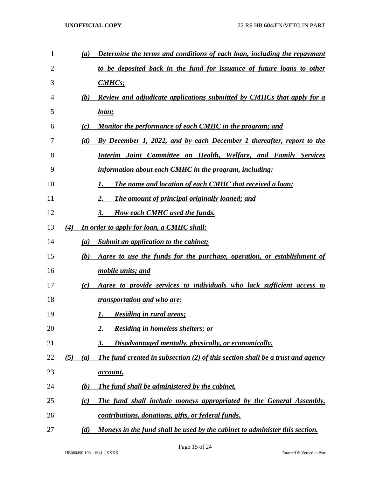| $\mathbf{1}$ | (a)        | Determine the terms and conditions of each loan, including the repayment       |
|--------------|------------|--------------------------------------------------------------------------------|
| 2            |            | to be deposited back in the fund for issuance of future loans to other         |
| 3            |            | CMHCs                                                                          |
| 4            | (b)        | <b>Review and adjudicate applications submitted by CMHCs that apply for a</b>  |
| 5            |            | <u>loan;</u>                                                                   |
| 6            | (c)        | Monitor the performance of each CMHC in the program; and                       |
| 7            | (d)        | By December 1, 2022, and by each December 1 thereafter, report to the          |
| 8            |            | Interim Joint Committee on Health, Welfare, and Family Services                |
| 9            |            | information about each CMHC in the program, including:                         |
| 10           |            | The name and location of each CMHC that received a loan;<br>1.                 |
| 11           |            | The amount of principal originally loaned; and<br>2.                           |
| 12           |            | <b>How each CMHC used the funds.</b><br>3.                                     |
| 13           | (4)        | In order to apply for loan, a CMHC shall:                                      |
| 14           | (a)        | Submit an application to the cabinet;                                          |
| 15           | (b)        | Agree to use the funds for the purchase, operation, or establishment of        |
| 16           |            | mobile units; and                                                              |
| 17           | (c)        | Agree to provide services to individuals who lack sufficient access to         |
| 18           |            | <i>transportation and who are:</i>                                             |
| 19           |            | <b>Residing in rural areas;</b><br>I.                                          |
| 20           |            | <b>Residing in homeless shelters; or</b><br>2.                                 |
| 21           |            | Disadvantaged mentally, physically, or economically.<br>3.                     |
| 22           | (5)<br>(a) | The fund created in subsection (2) of this section shall be a trust and agency |
| 23           |            | <u>account.</u>                                                                |
| 24           | (b)        | The fund shall be administered by the cabinet.                                 |
| 25           | (c)        | The fund shall include moneys appropriated by the General Assembly,            |
| 26           |            | contributions, donations, gifts, or federal funds.                             |
| 27           | (d)        | Moneys in the fund shall be used by the cabinet to administer this section.    |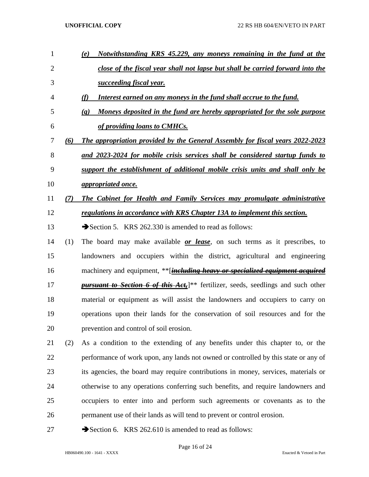- *(e) Notwithstanding KRS 45.229, any moneys remaining in the fund at the close of the fiscal year shall not lapse but shall be carried forward into the succeeding fiscal year. (f) Interest earned on any moneys in the fund shall accrue to the fund. (g) Moneys deposited in the fund are hereby appropriated for the sole purpose of providing loans to CMHCs. (6) The appropriation provided by the General Assembly for fiscal years 2022-2023 and 2023-2024 for mobile crisis services shall be considered startup funds to support the establishment of additional mobile crisis units and shall only be appropriated once. (7) The Cabinet for Health and Family Services may promulgate administrative regulations in accordance with KRS Chapter 13A to implement this section.* 13 Section 5. KRS 262.330 is amended to read as follows: (1) The board may make available *or lease*, on such terms as it prescribes, to landowners and occupiers within the district, agricultural and engineering machinery and equipment, \*\*[*including heavy or specialized equipment acquired pursuant to Section 6 of this Act*, where the section seedlings and such other material or equipment as will assist the landowners and occupiers to carry on operations upon their lands for the conservation of soil resources and for the prevention and control of soil erosion. (2) As a condition to the extending of any benefits under this chapter to, or the performance of work upon, any lands not owned or controlled by this state or any of its agencies, the board may require contributions in money, services, materials or otherwise to any operations conferring such benefits, and require landowners and occupiers to enter into and perform such agreements or covenants as to the permanent use of their lands as will tend to prevent or control erosion.
- 27 Section 6. KRS 262.610 is amended to read as follows: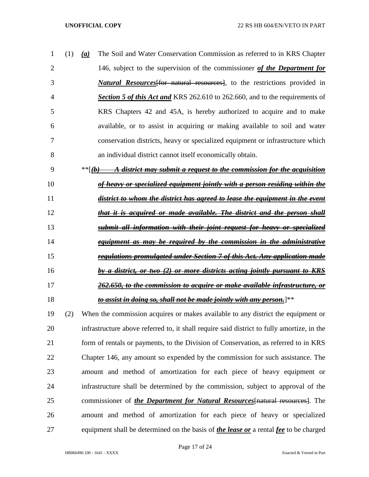| $\mathbf{1}$   | (a) | The Soil and Water Conservation Commission as referred to in KRS Chapter            |
|----------------|-----|-------------------------------------------------------------------------------------|
| 2              |     | 146, subject to the supervision of the commissioner of the Department for           |
| 3              |     | <i>Natural Resources</i> for natural resources, to the restrictions provided in     |
| $\overline{4}$ |     | <b>Section 5 of this Act and KRS 262.610 to 262.660, and to the requirements of</b> |
| 5              |     | KRS Chapters 42 and 45A, is hereby authorized to acquire and to make                |
| 6              |     | available, or to assist in acquiring or making available to soil and water          |
| 7              |     | conservation districts, heavy or specialized equipment or infrastructure which      |
| 8              |     | an individual district cannot itself economically obtain.                           |

- \*\*[*(b) A district may submit a request to the commission for the acquisition of heavy or specialized equipment jointly with a person residing within the*
- *district to whom the district has agreed to lease the equipment in the event that it is acquired or made available. The district and the person shall submit all information with their joint request for heavy or specialized equipment as may be required by the commission in the administrative*
- *regulations promulgated under Section 7 of this Act. Any application made*
- *by a district, or two (2) or more districts acting jointly pursuant to KRS*
- *262.650, to the commission to acquire or make available infrastructure, or*
- *to assist in doing so, shall not be made jointly with any person.*]\*\*
- (2) When the commission acquires or makes available to any district the equipment or infrastructure above referred to, it shall require said district to fully amortize, in the form of rentals or payments, to the Division of Conservation, as referred to in KRS Chapter 146, any amount so expended by the commission for such assistance. The amount and method of amortization for each piece of heavy equipment or infrastructure shall be determined by the commission, subject to approval of the commissioner of *the Department for Natural Resources*[natural resources]. The amount and method of amortization for each piece of heavy or specialized equipment shall be determined on the basis of *the lease or* a rental *fee* to be charged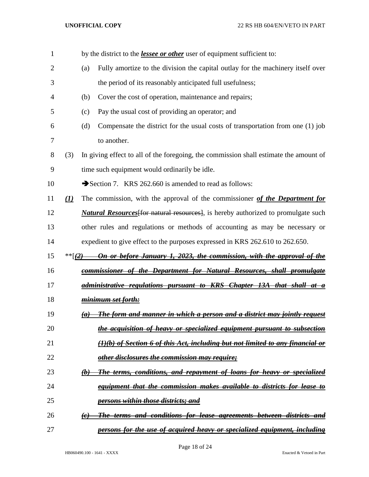| 1              |          |                               | by the district to the <i>lessee or other</i> user of equipment sufficient to:            |
|----------------|----------|-------------------------------|-------------------------------------------------------------------------------------------|
| $\overline{2}$ |          | (a)                           | Fully amortize to the division the capital outlay for the machinery itself over           |
| 3              |          |                               | the period of its reasonably anticipated full usefulness;                                 |
| 4              |          | (b)                           | Cover the cost of operation, maintenance and repairs;                                     |
| 5              |          | (c)                           | Pay the usual cost of providing an operator; and                                          |
| 6              |          | (d)                           | Compensate the district for the usual costs of transportation from one (1) job            |
| 7              |          |                               | to another.                                                                               |
| 8              | (3)      |                               | In giving effect to all of the foregoing, the commission shall estimate the amount of     |
| 9              |          |                               | time such equipment would ordinarily be idle.                                             |
| 10             |          |                               | Section 7. KRS 262.660 is amended to read as follows:                                     |
| 11             | $\Omega$ |                               | The commission, with the approval of the commissioner of the Department for               |
| 12             |          |                               | <i>Natural Resources</i> [for natural resources], is hereby authorized to promulgate such |
| 13             |          |                               | other rules and regulations or methods of accounting as may be necessary or               |
| 14             |          |                               | expedient to give effect to the purposes expressed in KRS 262.610 to 262.650.             |
| 15             | ** $(2)$ |                               | On or before January 1, 2023, the commission, with the approval of the                    |
| 16             |          |                               | <u>commissioner of the Department for Natural Resources, shall promulgate</u>             |
| 17             |          |                               | <u>administrative regulations pursuant to KRS Chapter 13A that shall </u>                 |
| 18             |          |                               | <u>minimum set forth:</u>                                                                 |
| 19             |          |                               | <u>The form and manner in which a person and a district may jointly request</u>           |
| 20             |          |                               | the acquisition of heavy or specialized equipment pursuant to subsection                  |
| 21             |          |                               | (1)(b) of Section 6 of this Act, including but not limited to any financial or            |
| 22             |          |                               | other disclosures the commission may require;                                             |
| 23             |          | $\left(\boldsymbol{b}\right)$ | <u>The terms, conditions, and repayment of loans for heavy or specialized</u>             |
| 24             |          |                               | <u>equipment that the commission makes available to districts for lease to</u>            |
| 25             |          |                               | persons within those districts; and                                                       |
| 26             |          | $\left(e\right)$              | <u>The terms and conditions for lease agreements between districts and </u>               |
| 27             |          |                               | persons for the use of acquired heavy or specialized equipment, including                 |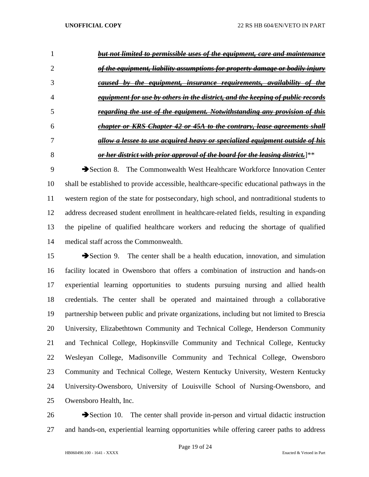|   | but not limited to permissible uses of the equipment, care and maintenance           |
|---|--------------------------------------------------------------------------------------|
|   | of the equipment, liability assumptions for property damage or bodily injury         |
|   | <del>caused by the equipment, insurance requirements, availability of</del>          |
|   | equipment for use by others in the district, and the keeping of public records       |
|   | regarding the use of the equipment. Notwithstanding any provision of this            |
| h | chapter or KRS Chapter 42 or 45A to the contrary, lease agreements shall             |
|   | allow a lessee to use acquired heavy o <u>r specialized equipment outside of his</u> |
|   | or her district with prior approval of the board for the leasing district.  **       |

 Section 8. The Commonwealth West Healthcare Workforce Innovation Center shall be established to provide accessible, healthcare-specific educational pathways in the western region of the state for postsecondary, high school, and nontraditional students to address decreased student enrollment in healthcare-related fields, resulting in expanding the pipeline of qualified healthcare workers and reducing the shortage of qualified medical staff across the Commonwealth.

15 Section 9. The center shall be a health education, innovation, and simulation facility located in Owensboro that offers a combination of instruction and hands-on experiential learning opportunities to students pursuing nursing and allied health credentials. The center shall be operated and maintained through a collaborative partnership between public and private organizations, including but not limited to Brescia University, Elizabethtown Community and Technical College, Henderson Community and Technical College, Hopkinsville Community and Technical College, Kentucky Wesleyan College, Madisonville Community and Technical College, Owensboro Community and Technical College, Western Kentucky University, Western Kentucky University-Owensboro, University of Louisville School of Nursing-Owensboro, and Owensboro Health, Inc.

  $\rightarrow$  Section 10. The center shall provide in-person and virtual didactic instruction and hands-on, experiential learning opportunities while offering career paths to address

Page 19 of 24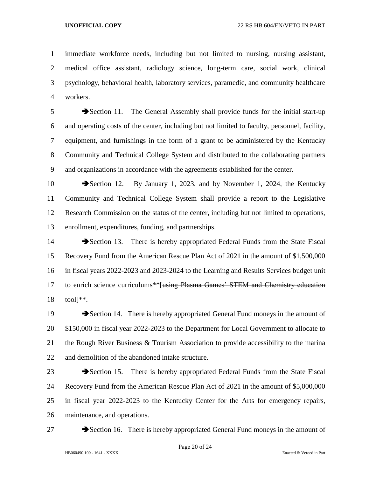immediate workforce needs, including but not limited to nursing, nursing assistant, medical office assistant, radiology science, long-term care, social work, clinical psychology, behavioral health, laboratory services, paramedic, and community healthcare workers.

5 Section 11. The General Assembly shall provide funds for the initial start-up and operating costs of the center, including but not limited to faculty, personnel, facility, equipment, and furnishings in the form of a grant to be administered by the Kentucky Community and Technical College System and distributed to the collaborating partners and organizations in accordance with the agreements established for the center.

10 Section 12. By January 1, 2023, and by November 1, 2024, the Kentucky Community and Technical College System shall provide a report to the Legislative Research Commission on the status of the center, including but not limited to operations, enrollment, expenditures, funding, and partnerships.

14 Section 13. There is hereby appropriated Federal Funds from the State Fiscal Recovery Fund from the American Rescue Plan Act of 2021 in the amount of \$1,500,000 in fiscal years 2022-2023 and 2023-2024 to the Learning and Results Services budget unit 17 to enrich science curriculums<sup>\*\*</sup>[using Plasma Games' STEM and Chemistry education tool]\*\*.

19 Section 14. There is hereby appropriated General Fund moneys in the amount of \$150,000 in fiscal year 2022-2023 to the Department for Local Government to allocate to the Rough River Business & Tourism Association to provide accessibility to the marina and demolition of the abandoned intake structure.

 Section 15. There is hereby appropriated Federal Funds from the State Fiscal Recovery Fund from the American Rescue Plan Act of 2021 in the amount of \$5,000,000 in fiscal year 2022-2023 to the Kentucky Center for the Arts for emergency repairs, maintenance, and operations.

27 Section 16. There is hereby appropriated General Fund moneys in the amount of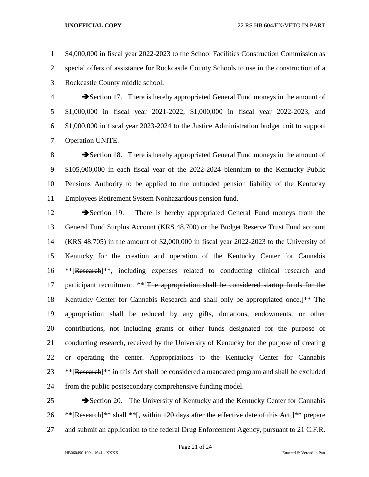\$4,000,000 in fiscal year 2022-2023 to the School Facilities Construction Commission as special offers of assistance for Rockcastle County Schools to use in the construction of a Rockcastle County middle school.

 Section 17. There is hereby appropriated General Fund moneys in the amount of \$1,000,000 in fiscal year 2021-2022, \$1,000,000 in fiscal year 2022-2023, and \$1,000,000 in fiscal year 2023-2024 to the Justice Administration budget unit to support Operation UNITE.

8 Section 18. There is hereby appropriated General Fund moneys in the amount of \$105,000,000 in each fiscal year of the 2022-2024 biennium to the Kentucky Public Pensions Authority to be applied to the unfunded pension liability of the Kentucky Employees Retirement System Nonhazardous pension fund.

12 Section 19. There is hereby appropriated General Fund moneys from the General Fund Surplus Account (KRS 48.700) or the Budget Reserve Trust Fund account (KRS 48.705) in the amount of \$2,000,000 in fiscal year 2022-2023 to the University of Kentucky for the creation and operation of the Kentucky Center for Cannabis \*\*[Research]\*\*, including expenses related to conducting clinical research and 17 participant recruitment. \*\* [The appropriation shall be considered startup funds for the Kentucky Center for Cannabis Research and shall only be appropriated once.]\*\* The appropriation shall be reduced by any gifts, donations, endowments, or other contributions, not including grants or other funds designated for the purpose of conducting research, received by the University of Kentucky for the purpose of creating or operating the center. Appropriations to the Kentucky Center for Cannabis \*\*[Research]\*\* in this Act shall be considered a mandated program and shall be excluded from the public postsecondary comprehensive funding model.

25 Section 20. The University of Kentucky and the Kentucky Center for Cannabis 26 \*\* [Research]\*\* shall \*\* [, within 120 days after the effective date of this Act,]\*\* prepare and submit an application to the federal Drug Enforcement Agency, pursuant to 21 C.F.R.

Page 21 of 24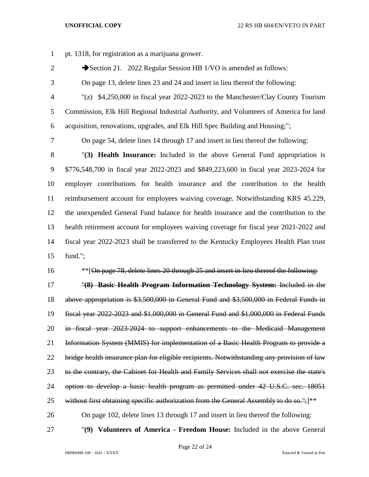pt. 1318, for registration as a marijuana grower.

- 2 Section 21. 2022 Regular Session HB 1/VO is amended as follows:
- On page 13, delete lines 23 and 24 and insert in lieu thereof the following:
	-

 "(z) \$4,250,000 in fiscal year 2022-2023 to the Manchester/Clay County Tourism Commission, Elk Hill Regional Industrial Authority, and Volunteers of America for land acquisition, renovations, upgrades, and Elk Hill Spec Building and Housing;";

On page 54, delete lines 14 through 17 and insert in lieu thereof the following:

 "**(3) Health Insurance:** Included in the above General Fund appropriation is \$776,548,700 in fiscal year 2022-2023 and \$849,223,600 in fiscal year 2023-2024 for employer contributions for health insurance and the contribution to the health reimbursement account for employees waiving coverage. Notwithstanding KRS 45.229, the unexpended General Fund balance for health insurance and the contribution to the health retirement account for employees waiving coverage for fiscal year 2021-2022 and fiscal year 2022-2023 shall be transferred to the Kentucky Employees Health Plan trust fund.";

16 \*\*\* [On page 78, delete lines 20 through 25 and insert in lieu thereof the following:

 "**(8) Basic Health Program Information Technology System:** Included in the above appropriation is \$3,500,000 in General Fund and \$3,500,000 in Federal Funds in fiscal year 2022-2023 and \$1,000,000 in General Fund and \$1,000,000 in Federal Funds in fiscal year 2023-2024 to support enhancements to the Medicaid Management Information System (MMIS) for implementation of a Basic Health Program to provide a bridge health insurance plan for eligible recipients. Notwithstanding any provision of law 23 to the contrary, the Cabinet for Health and Family Services shall not exercise the state's option to develop a basic health program as permitted under 42 U.S.C. sec. 18051 25 without first obtaining specific authorization from the General Assembly to do so."; $]^{**}$ On page 102, delete lines 13 through 17 and insert in lieu thereof the following:

"**(9) Volunteers of America - Freedom House:** Included in the above General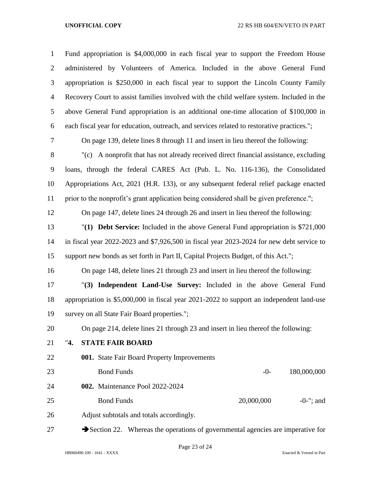| $\mathbf{1}$   | Fund appropriation is \$4,000,000 in each fiscal year to support the Freedom House                   |
|----------------|------------------------------------------------------------------------------------------------------|
| $\overline{2}$ | administered by Volunteers of America. Included in the above General Fund                            |
| 3              | appropriation is \$250,000 in each fiscal year to support the Lincoln County Family                  |
| $\overline{4}$ | Recovery Court to assist families involved with the child welfare system. Included in the            |
| 5              | above General Fund appropriation is an additional one-time allocation of \$100,000 in                |
| 6              | each fiscal year for education, outreach, and services related to restorative practices.";           |
| $\tau$         | On page 139, delete lines 8 through 11 and insert in lieu thereof the following:                     |
| $8\,$          | "(c) A nonprofit that has not already received direct financial assistance, excluding                |
| 9              | loans, through the federal CARES Act (Pub. L. No. 116-136), the Consolidated                         |
| 10             | Appropriations Act, 2021 (H.R. 133), or any subsequent federal relief package enacted                |
| 11             | prior to the nonprofit's grant application being considered shall be given preference.";             |
| 12             | On page 147, delete lines 24 through 26 and insert in lieu thereof the following:                    |
| 13             | " $(1)$ <b>Debt Service:</b> Included in the above General Fund appropriation is \$721,000           |
| 14             | in fiscal year 2022-2023 and \$7,926,500 in fiscal year 2023-2024 for new debt service to            |
| 15             | support new bonds as set forth in Part II, Capital Projects Budget, of this Act.";                   |
| 16             | On page 148, delete lines 21 through 23 and insert in lieu thereof the following:                    |
| 17             | "(3) Independent Land-Use Survey: Included in the above General Fund                                 |
| 18             | appropriation is \$5,000,000 in fiscal year 2021-2022 to support an independent land-use             |
| 19             | survey on all State Fair Board properties.";                                                         |
| 20             | On page 214, delete lines 21 through 23 and insert in lieu thereof the following:                    |
| 21             | "4.<br><b>STATE FAIR BOARD</b>                                                                       |
| 22             | 001. State Fair Board Property Improvements                                                          |
| 23             | 180,000,000<br><b>Bond Funds</b><br>$-0-$                                                            |
| 24             | 002. Maintenance Pool 2022-2024                                                                      |
| 25             | 20,000,000<br>$-0$ -"; and<br><b>Bond Funds</b>                                                      |
| 26             | Adjust subtotals and totals accordingly.                                                             |
| 27             | $\blacktriangleright$ Section 22. Whereas the operations of governmental agencies are imperative for |